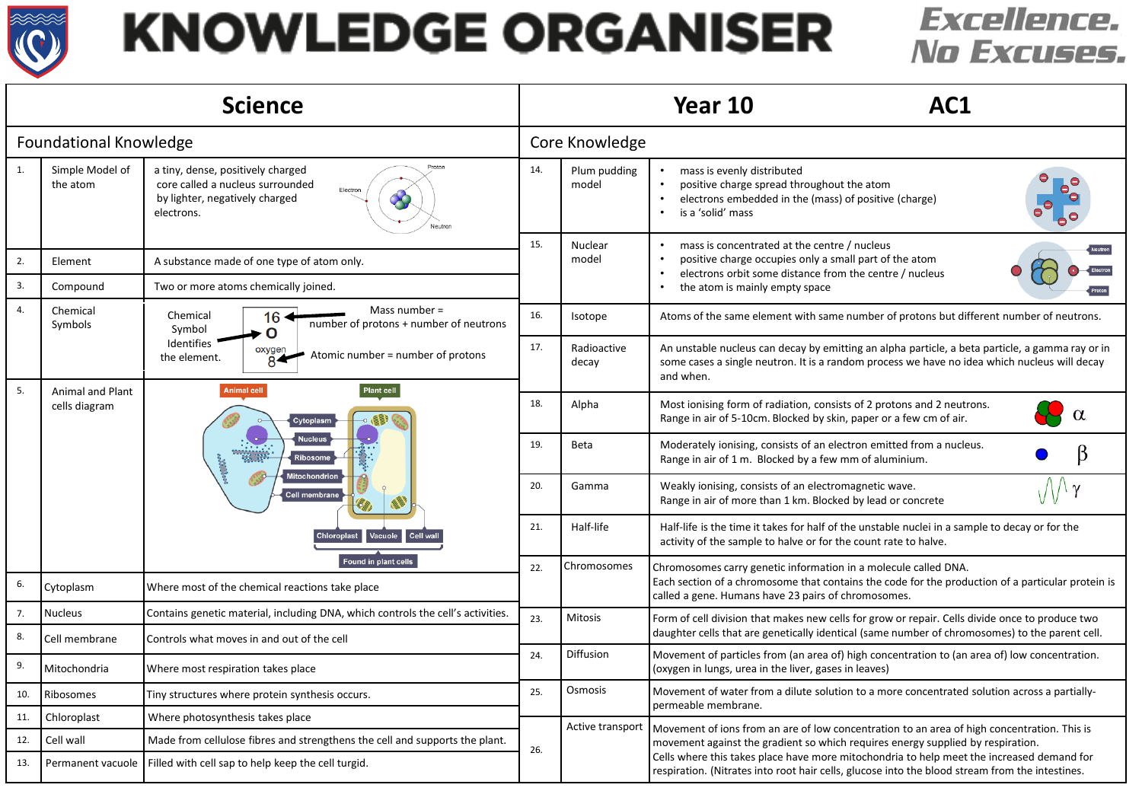

## **KNOWLEDGE ORGANISER**

**Excellence. No Excuses.** 

| <b>Science</b>                |                                          |                                                                                                                                                                                                       |                |                       | Year 10<br>АС1                                                                                                                                                                                                                                                                                                                                                                                    |  |  |
|-------------------------------|------------------------------------------|-------------------------------------------------------------------------------------------------------------------------------------------------------------------------------------------------------|----------------|-----------------------|---------------------------------------------------------------------------------------------------------------------------------------------------------------------------------------------------------------------------------------------------------------------------------------------------------------------------------------------------------------------------------------------------|--|--|
| <b>Foundational Knowledge</b> |                                          |                                                                                                                                                                                                       | Core Knowledge |                       |                                                                                                                                                                                                                                                                                                                                                                                                   |  |  |
| 1.                            | Simple Model of<br>the atom              | Protor<br>a tiny, dense, positively charged<br>core called a nucleus surrounded<br>Electron<br>by lighter, negatively charged<br>electrons.<br>Neutron                                                | 14.            | Plum pudding<br>model | mass is evenly distributed<br>positive charge spread throughout the atom<br>electrons embedded in the (mass) of positive (charge)<br>is a 'solid' mass<br>$\bullet$                                                                                                                                                                                                                               |  |  |
| 2.                            | Element                                  | A substance made of one type of atom only.                                                                                                                                                            | 15.            | Nuclear<br>model      | mass is concentrated at the centre / nucleus<br>$\bullet$<br>positive charge occupies only a small part of the atom<br>electrons orbit some distance from the centre / nucleus<br>the atom is mainly empty space<br>$\bullet$                                                                                                                                                                     |  |  |
| 3.                            | Compound                                 | Two or more atoms chemically joined.                                                                                                                                                                  |                |                       |                                                                                                                                                                                                                                                                                                                                                                                                   |  |  |
| $\overline{4}$ .              | Chemical<br>Symbols                      | Mass number $=$<br>Chemical<br>$16 -$<br>number of protons + number of neutrons<br>Symbol<br>$\mathbf{O}$<br>Identifies<br>oxygen<br>Atomic number = number of protons<br>the element.<br>$\tilde{8}$ | 16.            | Isotope               | Atoms of the same element with same number of protons but different number of neutrons.<br>An unstable nucleus can decay by emitting an alpha particle, a beta particle, a gamma ray or in<br>some cases a single neutron. It is a random process we have no idea which nucleus will decay<br>and when.                                                                                           |  |  |
|                               |                                          |                                                                                                                                                                                                       | 17.            | Radioactive<br>decay  |                                                                                                                                                                                                                                                                                                                                                                                                   |  |  |
| 5.                            | <b>Animal and Plant</b><br>cells diagram | <b>Plant cell</b><br><b>Animal cell</b><br>Cytoplasm<br>lucleu<br>Ribosom<br><b>litochondrion</b><br><b>Cell membrane</b>                                                                             | 18.            | Alpha                 | Most ionising form of radiation, consists of 2 protons and 2 neutrons.<br>Range in air of 5-10cm. Blocked by skin, paper or a few cm of air.                                                                                                                                                                                                                                                      |  |  |
|                               |                                          |                                                                                                                                                                                                       | 19.            | Beta                  | Moderately ionising, consists of an electron emitted from a nucleus.<br>Range in air of 1 m. Blocked by a few mm of aluminium.                                                                                                                                                                                                                                                                    |  |  |
|                               |                                          |                                                                                                                                                                                                       | 20.            | Gamma                 | Weakly ionising, consists of an electromagnetic wave.<br>Range in air of more than 1 km. Blocked by lead or concrete                                                                                                                                                                                                                                                                              |  |  |
|                               |                                          | Vacuole<br>Cell wa                                                                                                                                                                                    | 21.            | Half-life             | Half-life is the time it takes for half of the unstable nuclei in a sample to decay or for the<br>activity of the sample to halve or for the count rate to halve.                                                                                                                                                                                                                                 |  |  |
| 6.                            | Cytoplasm                                | Found in plant cells<br>Where most of the chemical reactions take place                                                                                                                               | 22.            | Chromosomes           | Chromosomes carry genetic information in a molecule called DNA.<br>Each section of a chromosome that contains the code for the production of a particular protein is<br>called a gene. Humans have 23 pairs of chromosomes.                                                                                                                                                                       |  |  |
| 7.                            | <b>Nucleus</b>                           | Contains genetic material, including DNA, which controls the cell's activities.                                                                                                                       | 23.            | <b>Mitosis</b>        | Form of cell division that makes new cells for grow or repair. Cells divide once to produce two                                                                                                                                                                                                                                                                                                   |  |  |
| 8.                            | Cell membrane                            | Controls what moves in and out of the cell                                                                                                                                                            | 24.            | Diffusion             | daughter cells that are genetically identical (same number of chromosomes) to the parent cell.                                                                                                                                                                                                                                                                                                    |  |  |
| 9.                            | Mitochondria                             | Where most respiration takes place                                                                                                                                                                    |                |                       | Movement of particles from (an area of) high concentration to (an area of) low concentration.<br>(oxygen in lungs, urea in the liver, gases in leaves)                                                                                                                                                                                                                                            |  |  |
| 10.                           | Ribosomes                                | Tiny structures where protein synthesis occurs.                                                                                                                                                       | 25.            | Osmosis               | Movement of water from a dilute solution to a more concentrated solution across a partially-<br>permeable membrane.                                                                                                                                                                                                                                                                               |  |  |
| 11.                           | Chloroplast                              | Where photosynthesis takes place                                                                                                                                                                      |                |                       | Active transport   Movement of ions from an are of low concentration to an area of high concentration. This is<br>movement against the gradient so which requires energy supplied by respiration.<br>Cells where this takes place have more mitochondria to help meet the increased demand for<br>respiration. (Nitrates into root hair cells, glucose into the blood stream from the intestines. |  |  |
| 12.                           | Cell wall                                | Made from cellulose fibres and strengthens the cell and supports the plant.                                                                                                                           | 26.            |                       |                                                                                                                                                                                                                                                                                                                                                                                                   |  |  |
| 13.                           | Permanent vacuole                        | Filled with cell sap to help keep the cell turgid.                                                                                                                                                    |                |                       |                                                                                                                                                                                                                                                                                                                                                                                                   |  |  |